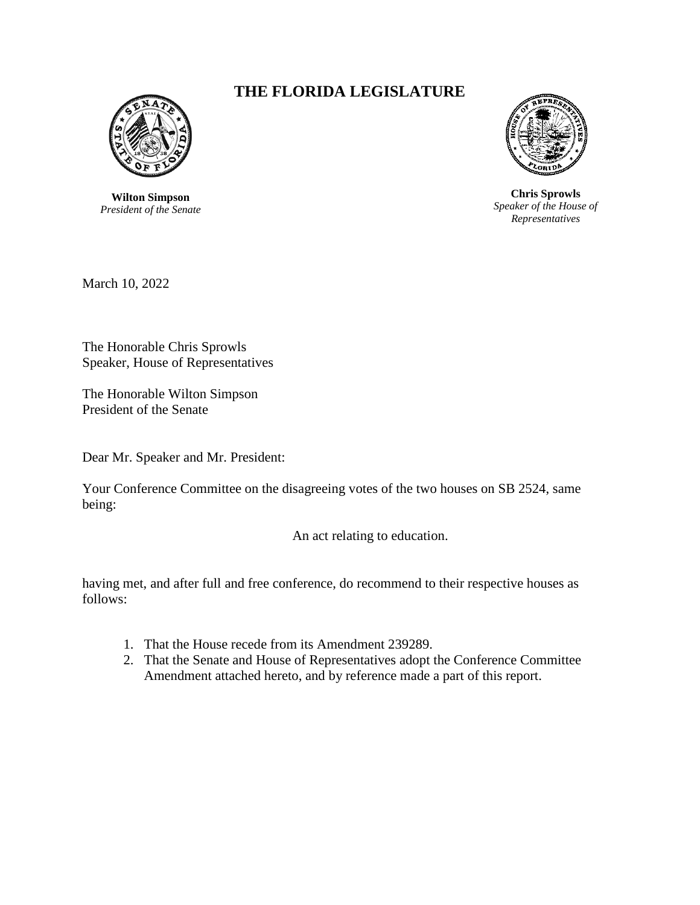

**Wilton Simpson** *President of the Senate*

## **THE FLORIDA LEGISLATURE**



**Chris Sprowls** *Speaker of the House of Representatives*

March 10, 2022

The Honorable Chris Sprowls Speaker, House of Representatives

The Honorable Wilton Simpson President of the Senate

Dear Mr. Speaker and Mr. President:

Your Conference Committee on the disagreeing votes of the two houses on SB 2524, same being:

An act relating to education.

having met, and after full and free conference, do recommend to their respective houses as follows:

- 1. That the House recede from its Amendment 239289.
- 2. That the Senate and House of Representatives adopt the Conference Committee Amendment attached hereto, and by reference made a part of this report.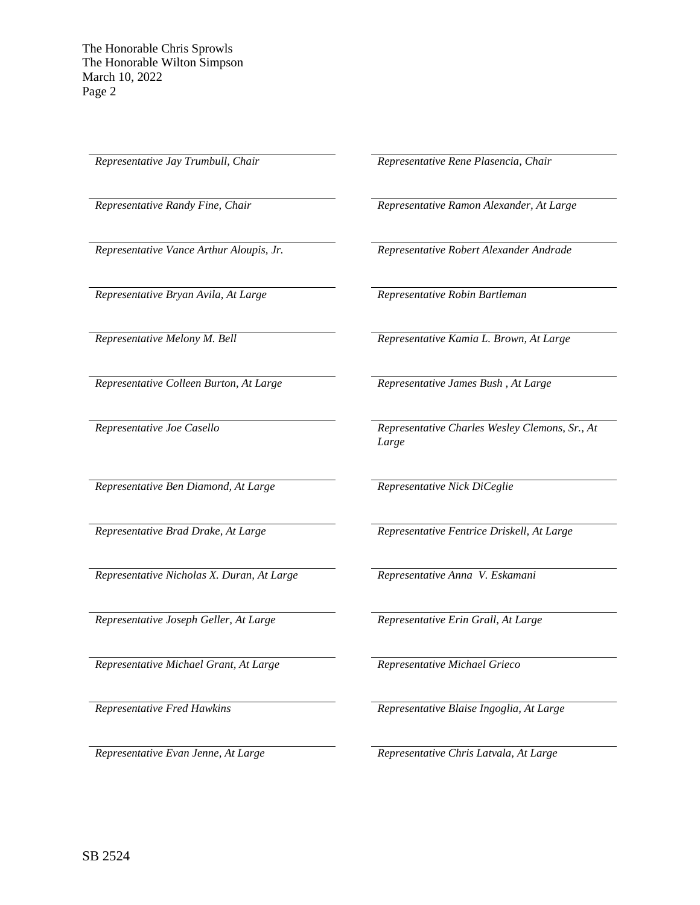*Representative Bryan Avila, At Large Representative Robin Bartleman*

*Representative Colleen Burton, At Large Representative James Bush , At Large*

*Representative Ben Diamond, At Large Representative Nick DiCeglie*

*Representative Nicholas X. Duran, At Large Representative Anna V. Eskamani*

*Representative Joseph Geller, At Large Representative Erin Grall, At Large*

*Representative Michael Grant, At Large Representative Michael Grieco*

*Representative Jay Trumbull, Chair Representative Rene Plasencia, Chair* 

*Representative Randy Fine, Chair Representative Ramon Alexander, At Large*

*Representative Vance Arthur Aloupis, Jr. Representative Robert Alexander Andrade*

*Representative Melony M. Bell Representative Kamia L. Brown, At Large*

*Representative Joe Casello Representative Charles Wesley Clemons, Sr., At Large*

*Representative Brad Drake, At Large Representative Fentrice Driskell, At Large*

*Representative Fred Hawkins Representative Blaise Ingoglia, At Large*

*Representative Evan Jenne, At Large Representative Chris Latvala, At Large*

SB 2524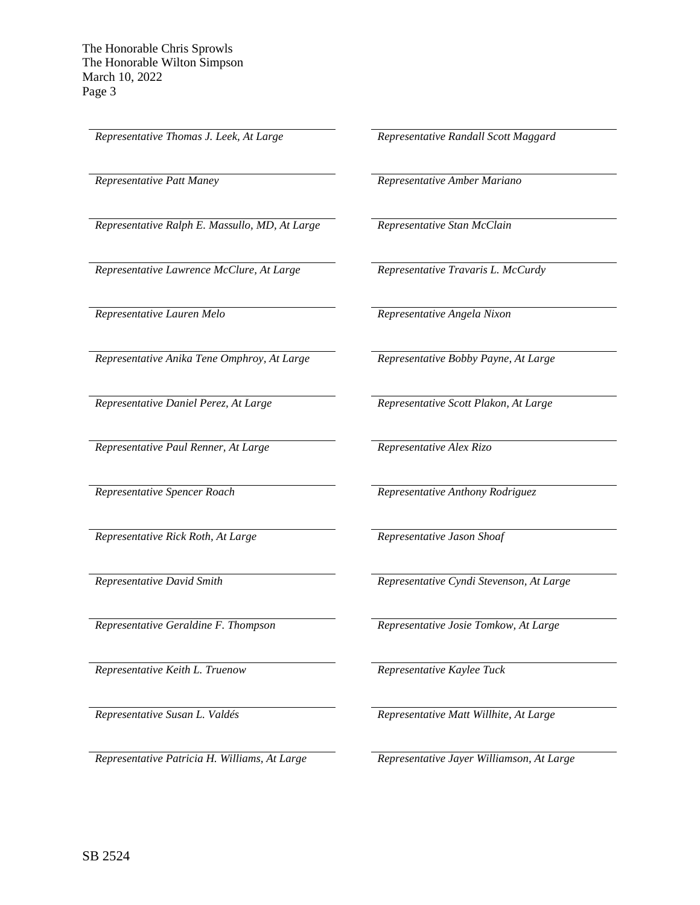*Representative Thomas J. Leek, At Large Representative Randall Scott Maggard*

*Representative Ralph E. Massullo, MD, At Large Representative Stan McClain*

*Representative Lawrence McClure, At Large Representative Travaris L. McCurdy*

*Representative Lauren Melo Representative Angela Nixon*

*Representative Anika Tene Omphroy, At Large Representative Bobby Payne, At Large*

*Representative Paul Renner, At Large Representative Alex Rizo*

*Representative Rick Roth, At Large Representative Jason Shoaf*

*Representative Keith L. Truenow Representative Kaylee Tuck*

*Representative Patricia H. Williams, At Large Representative Jayer Williamson, At Large*

*Representative Patt Maney Representative Amber Mariano*

*Representative Daniel Perez, At Large Representative Scott Plakon, At Large*

*Representative Spencer Roach Representative Anthony Rodriguez*

*Representative David Smith Representative Cyndi Stevenson, At Large*

*Representative Geraldine F. Thompson Representative Josie Tomkow, At Large*

*Representative Susan L. Valdés Representative Matt Willhite, At Large*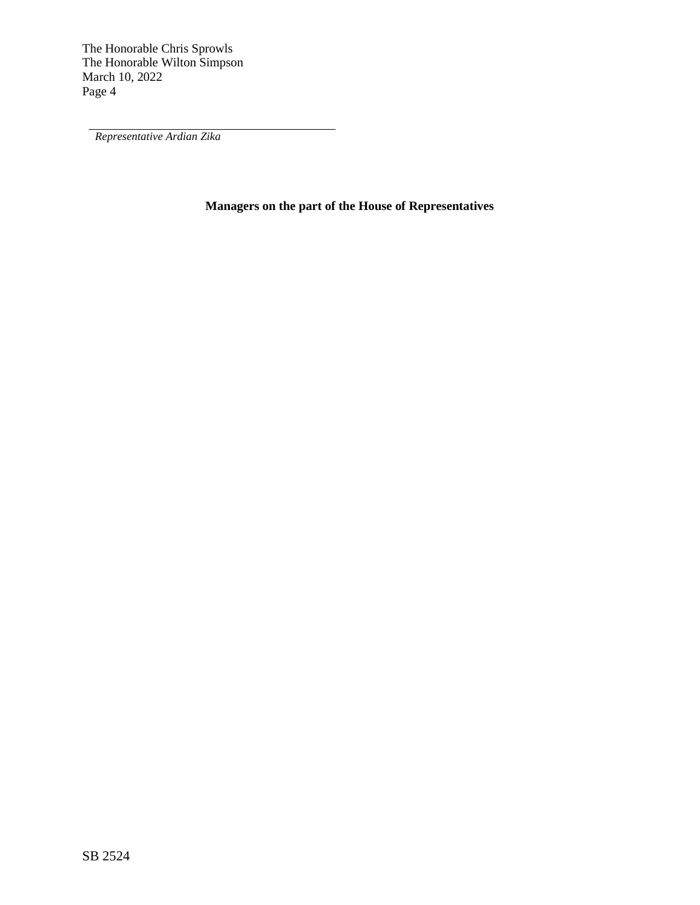*Representative Ardian Zika*

**Managers on the part of the House of Representatives**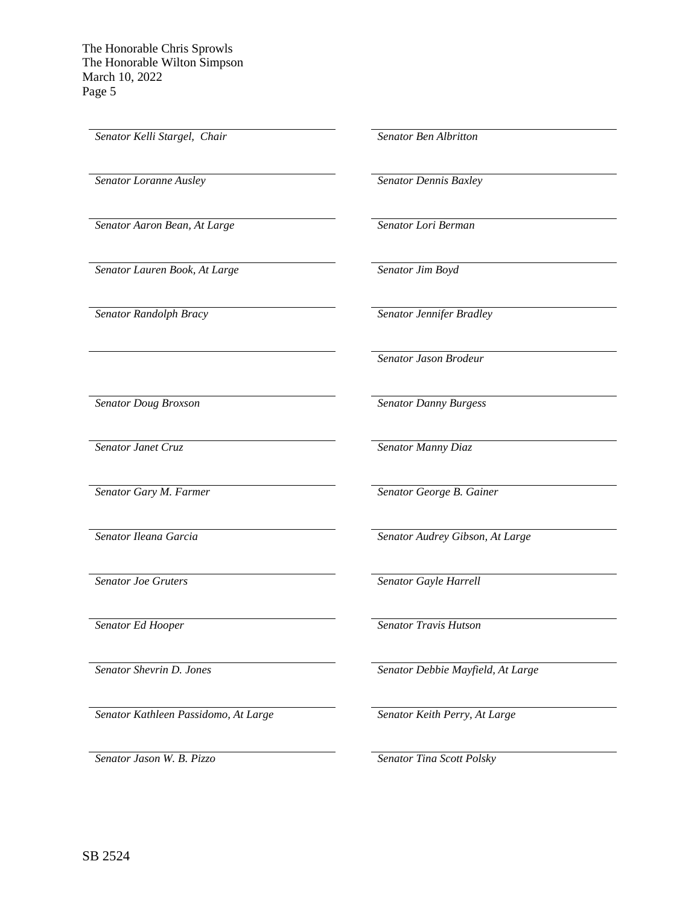*Senator Kelli Stargel, Chair Senator Ben Albritton Senator Loranne Ausley Senator Dennis Baxley Senator Aaron Bean, At Large Senator Lori Berman Senator Lauren Book, At Large Senator Jim Boyd Senator Randolph Bracy Senator Jennifer Bradley Senator Jason Brodeur Senator Doug Broxson Senator Danny Burgess Senator Janet Cruz Senator Manny Diaz Senator Gary M. Farmer Senator George B. Gainer Senator Ileana Garcia Senator Audrey Gibson, At Large Senator Joe Gruters Senator Gayle Harrell Senator Ed Hooper Senator Travis Hutson Senator Shevrin D. Jones Senator Debbie Mayfield, At Large*

*Senator Jason W. B. Pizzo Senator Tina Scott Polsky*

*Senator Kathleen Passidomo, At Large Senator Keith Perry, At Large*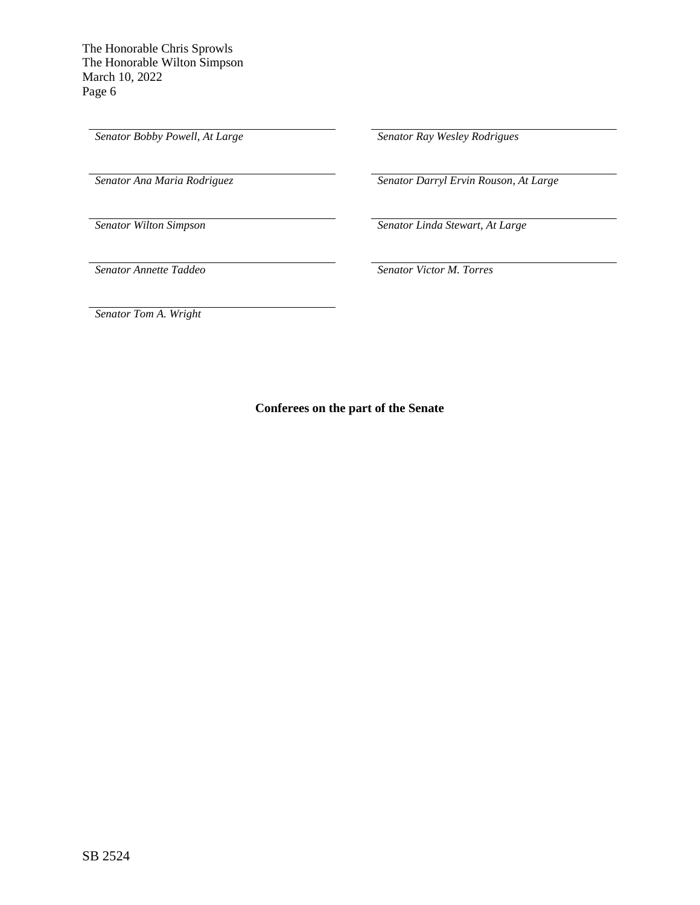*Senator Bobby Powell, At Large Senator Ray Wesley Rodrigues*

*Senator Ana Maria Rodriguez Senator Darryl Ervin Rouson, At Large*

*Senator Wilton Simpson Senator Linda Stewart, At Large*

*Senator Annette Taddeo Senator Victor M. Torres*

*Senator Tom A. Wright*

**Conferees on the part of the Senate**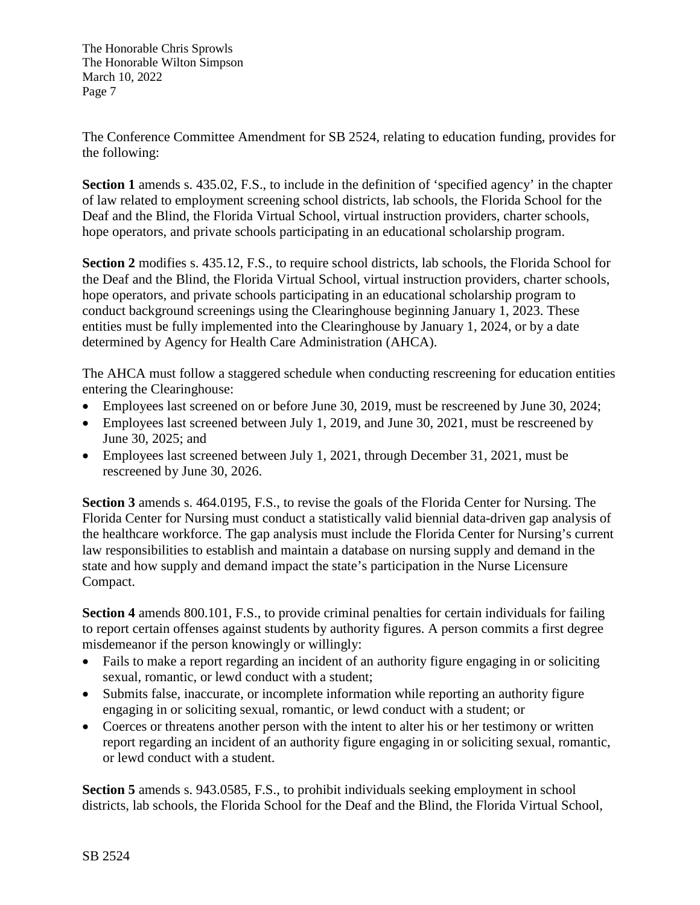The Conference Committee Amendment for SB 2524, relating to education funding, provides for the following:

**Section 1** amends s. 435.02, F.S., to include in the definition of 'specified agency' in the chapter of law related to employment screening school districts, lab schools, the Florida School for the Deaf and the Blind, the Florida Virtual School, virtual instruction providers, charter schools, hope operators, and private schools participating in an educational scholarship program.

**Section 2** modifies s. 435.12, F.S., to require school districts, lab schools, the Florida School for the Deaf and the Blind, the Florida Virtual School, virtual instruction providers, charter schools, hope operators, and private schools participating in an educational scholarship program to conduct background screenings using the Clearinghouse beginning January 1, 2023. These entities must be fully implemented into the Clearinghouse by January 1, 2024, or by a date determined by Agency for Health Care Administration (AHCA).

The AHCA must follow a staggered schedule when conducting rescreening for education entities entering the Clearinghouse:

- Employees last screened on or before June 30, 2019, must be rescreened by June 30, 2024;
- Employees last screened between July 1, 2019, and June 30, 2021, must be rescreened by June 30, 2025; and
- Employees last screened between July 1, 2021, through December 31, 2021, must be rescreened by June 30, 2026.

**Section 3** amends s. 464.0195, F.S., to revise the goals of the Florida Center for Nursing. The Florida Center for Nursing must conduct a statistically valid biennial data-driven gap analysis of the healthcare workforce. The gap analysis must include the Florida Center for Nursing's current law responsibilities to establish and maintain a database on nursing supply and demand in the state and how supply and demand impact the state's participation in the Nurse Licensure Compact.

**Section 4** amends 800.101, F.S., to provide criminal penalties for certain individuals for failing to report certain offenses against students by authority figures. A person commits a first degree misdemeanor if the person knowingly or willingly:

- Fails to make a report regarding an incident of an authority figure engaging in or soliciting sexual, romantic, or lewd conduct with a student;
- Submits false, inaccurate, or incomplete information while reporting an authority figure engaging in or soliciting sexual, romantic, or lewd conduct with a student; or
- Coerces or threatens another person with the intent to alter his or her testimony or written report regarding an incident of an authority figure engaging in or soliciting sexual, romantic, or lewd conduct with a student.

**Section 5** amends s. 943.0585, F.S., to prohibit individuals seeking employment in school districts, lab schools, the Florida School for the Deaf and the Blind, the Florida Virtual School,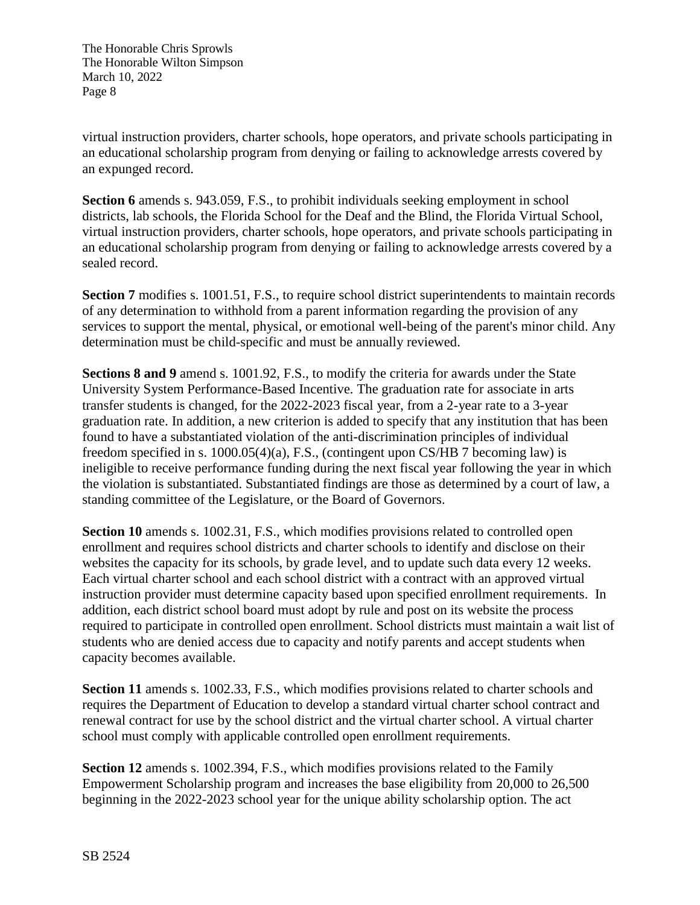virtual instruction providers, charter schools, hope operators, and private schools participating in an educational scholarship program from denying or failing to acknowledge arrests covered by an expunged record.

**Section 6** amends s. 943.059, F.S., to prohibit individuals seeking employment in school districts, lab schools, the Florida School for the Deaf and the Blind, the Florida Virtual School, virtual instruction providers, charter schools, hope operators, and private schools participating in an educational scholarship program from denying or failing to acknowledge arrests covered by a sealed record.

**Section 7** modifies s. 1001.51, F.S., to require school district superintendents to maintain records of any determination to withhold from a parent information regarding the provision of any services to support the mental, physical, or emotional well-being of the parent's minor child. Any determination must be child-specific and must be annually reviewed.

**Sections 8 and 9** amend s. 1001.92, F.S., to modify the criteria for awards under the State University System Performance-Based Incentive. The graduation rate for associate in arts transfer students is changed, for the 2022-2023 fiscal year, from a 2-year rate to a 3-year graduation rate. In addition, a new criterion is added to specify that any institution that has been found to have a substantiated violation of the anti-discrimination principles of individual freedom specified in s. 1000.05(4)(a), F.S., (contingent upon CS/HB 7 becoming law) is ineligible to receive performance funding during the next fiscal year following the year in which the violation is substantiated. Substantiated findings are those as determined by a court of law, a standing committee of the Legislature, or the Board of Governors.

**Section 10** amends s. 1002.31, F.S., which modifies provisions related to controlled open enrollment and requires school districts and charter schools to identify and disclose on their websites the capacity for its schools, by grade level, and to update such data every 12 weeks. Each virtual charter school and each school district with a contract with an approved virtual instruction provider must determine capacity based upon specified enrollment requirements. In addition, each district school board must adopt by rule and post on its website the process required to participate in controlled open enrollment. School districts must maintain a wait list of students who are denied access due to capacity and notify parents and accept students when capacity becomes available.

**Section 11** amends s. 1002.33, F.S., which modifies provisions related to charter schools and requires the Department of Education to develop a standard virtual charter school contract and renewal contract for use by the school district and the virtual charter school. A virtual charter school must comply with applicable controlled open enrollment requirements.

**Section 12** amends s. 1002.394, F.S., which modifies provisions related to the Family Empowerment Scholarship program and increases the base eligibility from 20,000 to 26,500 beginning in the 2022-2023 school year for the unique ability scholarship option. The act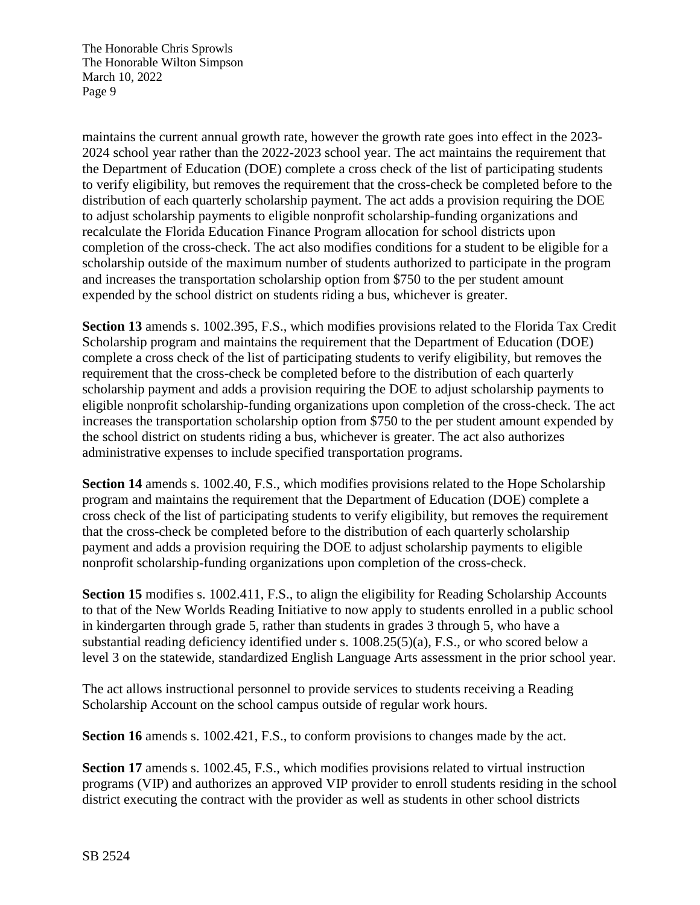maintains the current annual growth rate, however the growth rate goes into effect in the 2023- 2024 school year rather than the 2022-2023 school year. The act maintains the requirement that the Department of Education (DOE) complete a cross check of the list of participating students to verify eligibility, but removes the requirement that the cross-check be completed before to the distribution of each quarterly scholarship payment. The act adds a provision requiring the DOE to adjust scholarship payments to eligible nonprofit scholarship-funding organizations and recalculate the Florida Education Finance Program allocation for school districts upon completion of the cross-check. The act also modifies conditions for a student to be eligible for a scholarship outside of the maximum number of students authorized to participate in the program and increases the transportation scholarship option from \$750 to the per student amount expended by the school district on students riding a bus, whichever is greater.

**Section 13** amends s. 1002.395, F.S., which modifies provisions related to the Florida Tax Credit Scholarship program and maintains the requirement that the Department of Education (DOE) complete a cross check of the list of participating students to verify eligibility, but removes the requirement that the cross-check be completed before to the distribution of each quarterly scholarship payment and adds a provision requiring the DOE to adjust scholarship payments to eligible nonprofit scholarship-funding organizations upon completion of the cross-check. The act increases the transportation scholarship option from \$750 to the per student amount expended by the school district on students riding a bus, whichever is greater. The act also authorizes administrative expenses to include specified transportation programs.

**Section 14** amends s. 1002.40, F.S., which modifies provisions related to the Hope Scholarship program and maintains the requirement that the Department of Education (DOE) complete a cross check of the list of participating students to verify eligibility, but removes the requirement that the cross-check be completed before to the distribution of each quarterly scholarship payment and adds a provision requiring the DOE to adjust scholarship payments to eligible nonprofit scholarship-funding organizations upon completion of the cross-check.

**Section 15** modifies s. 1002.411, F.S., to align the eligibility for Reading Scholarship Accounts to that of the New Worlds Reading Initiative to now apply to students enrolled in a public school in kindergarten through grade 5, rather than students in grades 3 through 5, who have a substantial reading deficiency identified under s. 1008.25(5)(a), F.S., or who scored below a level 3 on the statewide, standardized English Language Arts assessment in the prior school year.

The act allows instructional personnel to provide services to students receiving a Reading Scholarship Account on the school campus outside of regular work hours.

**Section 16** amends s. 1002.421, F.S., to conform provisions to changes made by the act.

**Section 17** amends s. 1002.45, F.S., which modifies provisions related to virtual instruction programs (VIP) and authorizes an approved VIP provider to enroll students residing in the school district executing the contract with the provider as well as students in other school districts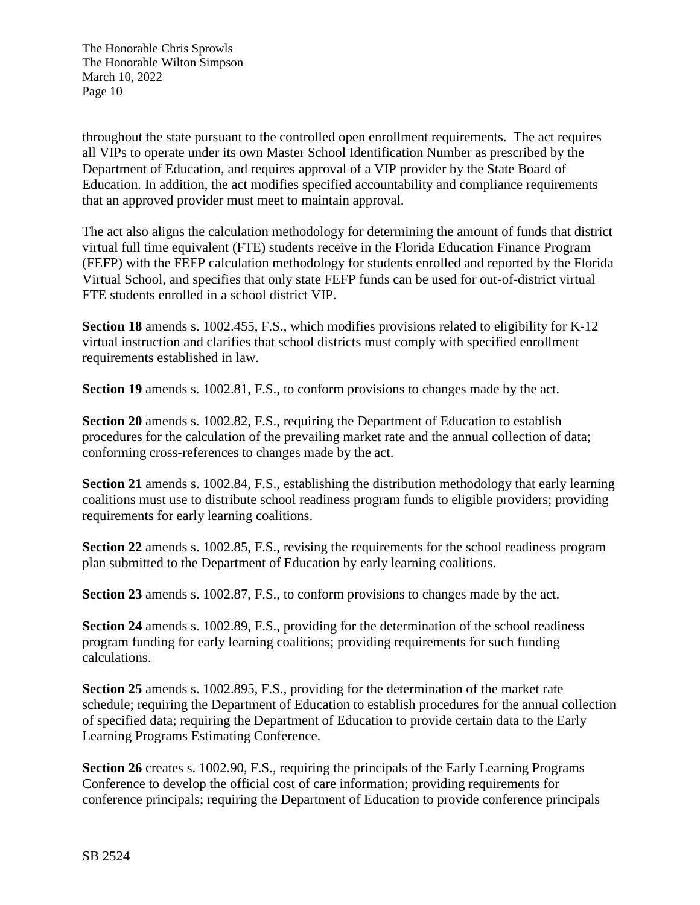throughout the state pursuant to the controlled open enrollment requirements. The act requires all VIPs to operate under its own Master School Identification Number as prescribed by the Department of Education, and requires approval of a VIP provider by the State Board of Education. In addition, the act modifies specified accountability and compliance requirements that an approved provider must meet to maintain approval.

The act also aligns the calculation methodology for determining the amount of funds that district virtual full time equivalent (FTE) students receive in the Florida Education Finance Program (FEFP) with the FEFP calculation methodology for students enrolled and reported by the Florida Virtual School, and specifies that only state FEFP funds can be used for out-of-district virtual FTE students enrolled in a school district VIP.

**Section 18** amends s. 1002.455, F.S., which modifies provisions related to eligibility for K-12 virtual instruction and clarifies that school districts must comply with specified enrollment requirements established in law.

**Section 19** amends s. 1002.81, F.S., to conform provisions to changes made by the act.

**Section 20** amends s. 1002.82, F.S., requiring the Department of Education to establish procedures for the calculation of the prevailing market rate and the annual collection of data; conforming cross-references to changes made by the act.

**Section 21** amends s. 1002.84, F.S., establishing the distribution methodology that early learning coalitions must use to distribute school readiness program funds to eligible providers; providing requirements for early learning coalitions.

**Section 22** amends s. 1002.85, F.S., revising the requirements for the school readiness program plan submitted to the Department of Education by early learning coalitions.

**Section 23** amends s. 1002.87, F.S., to conform provisions to changes made by the act.

**Section 24** amends s. 1002.89, F.S., providing for the determination of the school readiness program funding for early learning coalitions; providing requirements for such funding calculations.

**Section 25** amends s. 1002.895, F.S., providing for the determination of the market rate schedule; requiring the Department of Education to establish procedures for the annual collection of specified data; requiring the Department of Education to provide certain data to the Early Learning Programs Estimating Conference.

**Section 26** creates s. 1002.90, F.S., requiring the principals of the Early Learning Programs Conference to develop the official cost of care information; providing requirements for conference principals; requiring the Department of Education to provide conference principals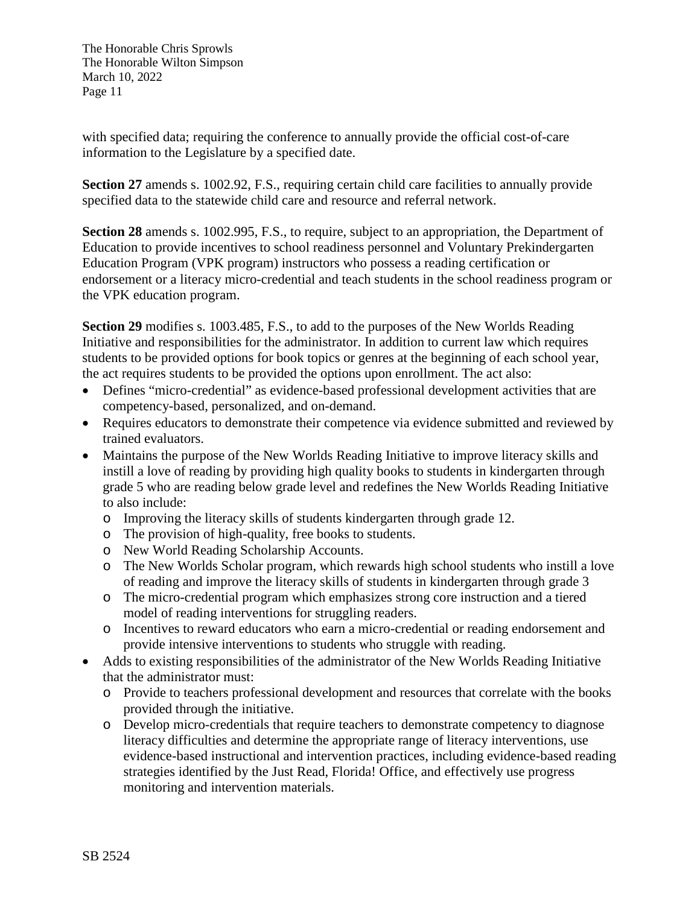with specified data; requiring the conference to annually provide the official cost-of-care information to the Legislature by a specified date.

**Section 27** amends s. 1002.92, F.S., requiring certain child care facilities to annually provide specified data to the statewide child care and resource and referral network.

**Section 28** amends s. 1002.995, F.S., to require, subject to an appropriation, the Department of Education to provide incentives to school readiness personnel and Voluntary Prekindergarten Education Program (VPK program) instructors who possess a reading certification or endorsement or a literacy micro-credential and teach students in the school readiness program or the VPK education program.

**Section 29** modifies s. 1003.485, F.S., to add to the purposes of the New Worlds Reading Initiative and responsibilities for the administrator. In addition to current law which requires students to be provided options for book topics or genres at the beginning of each school year, the act requires students to be provided the options upon enrollment. The act also:

- Defines "micro-credential" as evidence-based professional development activities that are competency-based, personalized, and on-demand.
- Requires educators to demonstrate their competence via evidence submitted and reviewed by trained evaluators.
- Maintains the purpose of the New Worlds Reading Initiative to improve literacy skills and instill a love of reading by providing high quality books to students in kindergarten through grade 5 who are reading below grade level and redefines the New Worlds Reading Initiative to also include:
	- o Improving the literacy skills of students kindergarten through grade 12.
	- o The provision of high-quality, free books to students.
	- o New World Reading Scholarship Accounts.
	- o The New Worlds Scholar program, which rewards high school students who instill a love of reading and improve the literacy skills of students in kindergarten through grade 3
	- o The micro-credential program which emphasizes strong core instruction and a tiered model of reading interventions for struggling readers.
	- o Incentives to reward educators who earn a micro-credential or reading endorsement and provide intensive interventions to students who struggle with reading.
- Adds to existing responsibilities of the administrator of the New Worlds Reading Initiative that the administrator must:
	- o Provide to teachers professional development and resources that correlate with the books provided through the initiative.
	- o Develop micro-credentials that require teachers to demonstrate competency to diagnose literacy difficulties and determine the appropriate range of literacy interventions, use evidence-based instructional and intervention practices, including evidence-based reading strategies identified by the Just Read, Florida! Office, and effectively use progress monitoring and intervention materials.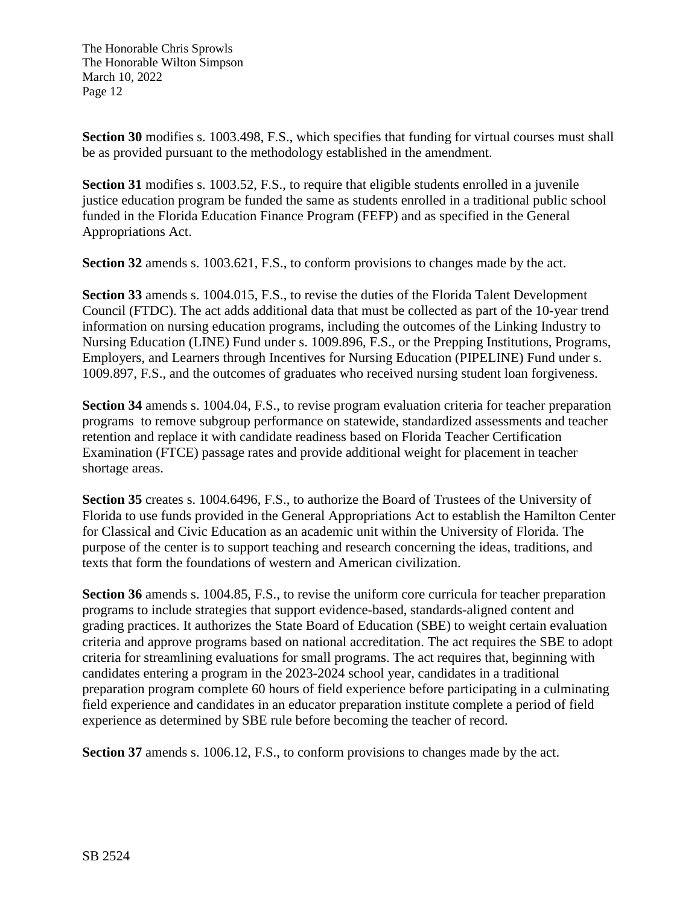**Section 30** modifies s. 1003.498, F.S., which specifies that funding for virtual courses must shall be as provided pursuant to the methodology established in the amendment.

**Section 31** modifies s. 1003.52, F.S., to require that eligible students enrolled in a juvenile justice education program be funded the same as students enrolled in a traditional public school funded in the Florida Education Finance Program (FEFP) and as specified in the General Appropriations Act.

**Section 32** amends s. 1003.621, F.S., to conform provisions to changes made by the act.

**Section 33** amends s. 1004.015, F.S., to revise the duties of the Florida Talent Development Council (FTDC). The act adds additional data that must be collected as part of the 10-year trend information on nursing education programs, including the outcomes of the Linking Industry to Nursing Education (LINE) Fund under s. 1009.896, F.S., or the Prepping Institutions, Programs, Employers, and Learners through Incentives for Nursing Education (PIPELINE) Fund under s. 1009.897, F.S., and the outcomes of graduates who received nursing student loan forgiveness.

**Section 34** amends s. 1004.04, F.S., to revise program evaluation criteria for teacher preparation programs to remove subgroup performance on statewide, standardized assessments and teacher retention and replace it with candidate readiness based on Florida Teacher Certification Examination (FTCE) passage rates and provide additional weight for placement in teacher shortage areas.

**Section 35** creates s. 1004.6496, F.S., to authorize the Board of Trustees of the University of Florida to use funds provided in the General Appropriations Act to establish the Hamilton Center for Classical and Civic Education as an academic unit within the University of Florida. The purpose of the center is to support teaching and research concerning the ideas, traditions, and texts that form the foundations of western and American civilization.

**Section 36** amends s. 1004.85, F.S., to revise the uniform core curricula for teacher preparation programs to include strategies that support evidence-based, standards-aligned content and grading practices. It authorizes the State Board of Education (SBE) to weight certain evaluation criteria and approve programs based on national accreditation. The act requires the SBE to adopt criteria for streamlining evaluations for small programs. The act requires that, beginning with candidates entering a program in the 2023-2024 school year, candidates in a traditional preparation program complete 60 hours of field experience before participating in a culminating field experience and candidates in an educator preparation institute complete a period of field experience as determined by SBE rule before becoming the teacher of record.

**Section 37** amends s. 1006.12, F.S., to conform provisions to changes made by the act.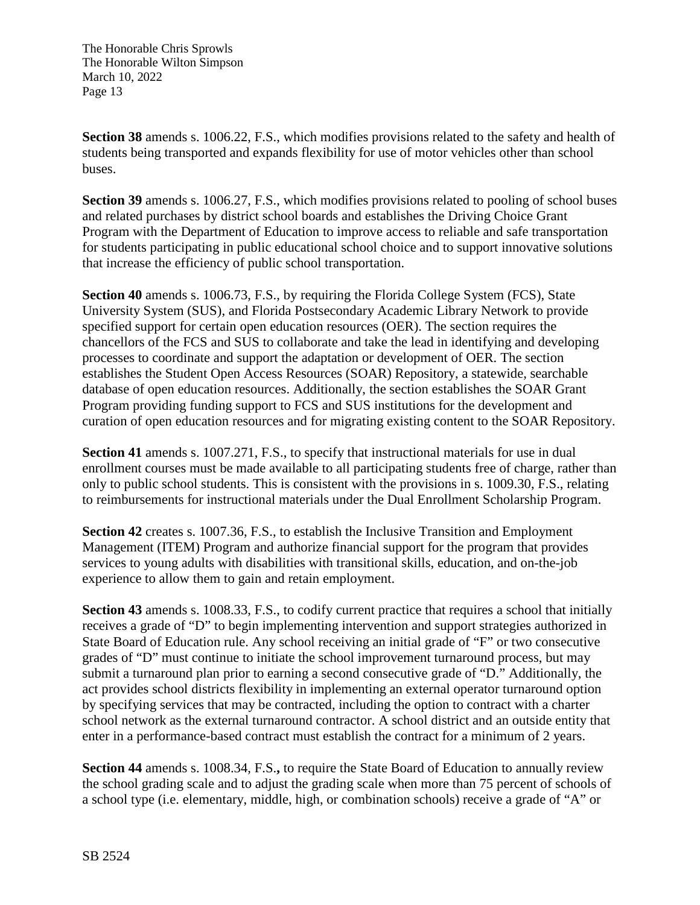**Section 38** amends s. 1006.22, F.S., which modifies provisions related to the safety and health of students being transported and expands flexibility for use of motor vehicles other than school buses.

**Section 39** amends s. 1006.27, F.S., which modifies provisions related to pooling of school buses and related purchases by district school boards and establishes the Driving Choice Grant Program with the Department of Education to improve access to reliable and safe transportation for students participating in public educational school choice and to support innovative solutions that increase the efficiency of public school transportation.

**Section 40** amends s. 1006.73, F.S., by requiring the Florida College System (FCS), State University System (SUS), and Florida Postsecondary Academic Library Network to provide specified support for certain open education resources (OER). The section requires the chancellors of the FCS and SUS to collaborate and take the lead in identifying and developing processes to coordinate and support the adaptation or development of OER. The section establishes the Student Open Access Resources (SOAR) Repository, a statewide, searchable database of open education resources. Additionally, the section establishes the SOAR Grant Program providing funding support to FCS and SUS institutions for the development and curation of open education resources and for migrating existing content to the SOAR Repository.

**Section 41** amends s. 1007.271, F.S., to specify that instructional materials for use in dual enrollment courses must be made available to all participating students free of charge, rather than only to public school students. This is consistent with the provisions in s. 1009.30, F.S., relating to reimbursements for instructional materials under the Dual Enrollment Scholarship Program.

**Section 42** creates s. 1007.36, F.S., to establish the Inclusive Transition and Employment Management (ITEM) Program and authorize financial support for the program that provides services to young adults with disabilities with transitional skills, education, and on-the-job experience to allow them to gain and retain employment.

**Section 43** amends s. 1008.33, F.S., to codify current practice that requires a school that initially receives a grade of "D" to begin implementing intervention and support strategies authorized in State Board of Education rule. Any school receiving an initial grade of "F" or two consecutive grades of "D" must continue to initiate the school improvement turnaround process, but may submit a turnaround plan prior to earning a second consecutive grade of "D." Additionally, the act provides school districts flexibility in implementing an external operator turnaround option by specifying services that may be contracted, including the option to contract with a charter school network as the external turnaround contractor. A school district and an outside entity that enter in a performance-based contract must establish the contract for a minimum of 2 years.

**Section 44** amends s. 1008.34, F.S.**,** to require the State Board of Education to annually review the school grading scale and to adjust the grading scale when more than 75 percent of schools of a school type (i.e. elementary, middle, high, or combination schools) receive a grade of "A" or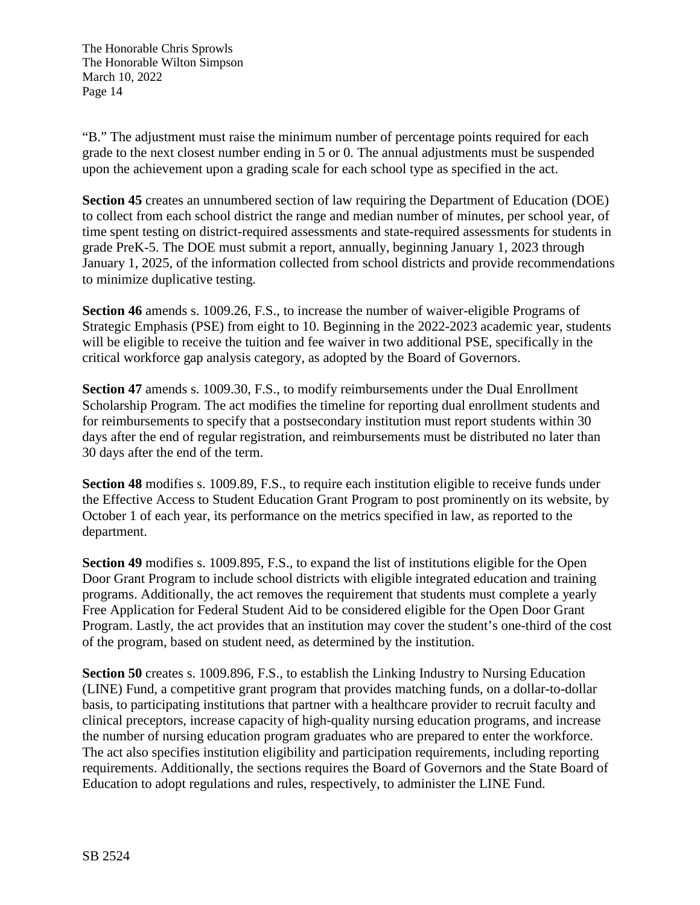"B." The adjustment must raise the minimum number of percentage points required for each grade to the next closest number ending in 5 or 0. The annual adjustments must be suspended upon the achievement upon a grading scale for each school type as specified in the act.

**Section 45** creates an unnumbered section of law requiring the Department of Education (DOE) to collect from each school district the range and median number of minutes, per school year, of time spent testing on district-required assessments and state-required assessments for students in grade PreK-5. The DOE must submit a report, annually, beginning January 1, 2023 through January 1, 2025, of the information collected from school districts and provide recommendations to minimize duplicative testing.

**Section 46** amends s. 1009.26, F.S., to increase the number of waiver-eligible Programs of Strategic Emphasis (PSE) from eight to 10. Beginning in the 2022-2023 academic year, students will be eligible to receive the tuition and fee waiver in two additional PSE, specifically in the critical workforce gap analysis category, as adopted by the Board of Governors.

**Section 47** amends s. 1009.30, F.S., to modify reimbursements under the Dual Enrollment Scholarship Program. The act modifies the timeline for reporting dual enrollment students and for reimbursements to specify that a postsecondary institution must report students within 30 days after the end of regular registration, and reimbursements must be distributed no later than 30 days after the end of the term.

**Section 48** modifies s. 1009.89, F.S., to require each institution eligible to receive funds under the Effective Access to Student Education Grant Program to post prominently on its website, by October 1 of each year, its performance on the metrics specified in law, as reported to the department.

**Section 49** modifies s. 1009.895, F.S., to expand the list of institutions eligible for the Open Door Grant Program to include school districts with eligible integrated education and training programs. Additionally, the act removes the requirement that students must complete a yearly Free Application for Federal Student Aid to be considered eligible for the Open Door Grant Program. Lastly, the act provides that an institution may cover the student's one-third of the cost of the program, based on student need, as determined by the institution.

**Section 50** creates s. 1009.896, F.S., to establish the Linking Industry to Nursing Education (LINE) Fund, a competitive grant program that provides matching funds, on a dollar-to-dollar basis, to participating institutions that partner with a healthcare provider to recruit faculty and clinical preceptors, increase capacity of high-quality nursing education programs, and increase the number of nursing education program graduates who are prepared to enter the workforce. The act also specifies institution eligibility and participation requirements, including reporting requirements. Additionally, the sections requires the Board of Governors and the State Board of Education to adopt regulations and rules, respectively, to administer the LINE Fund.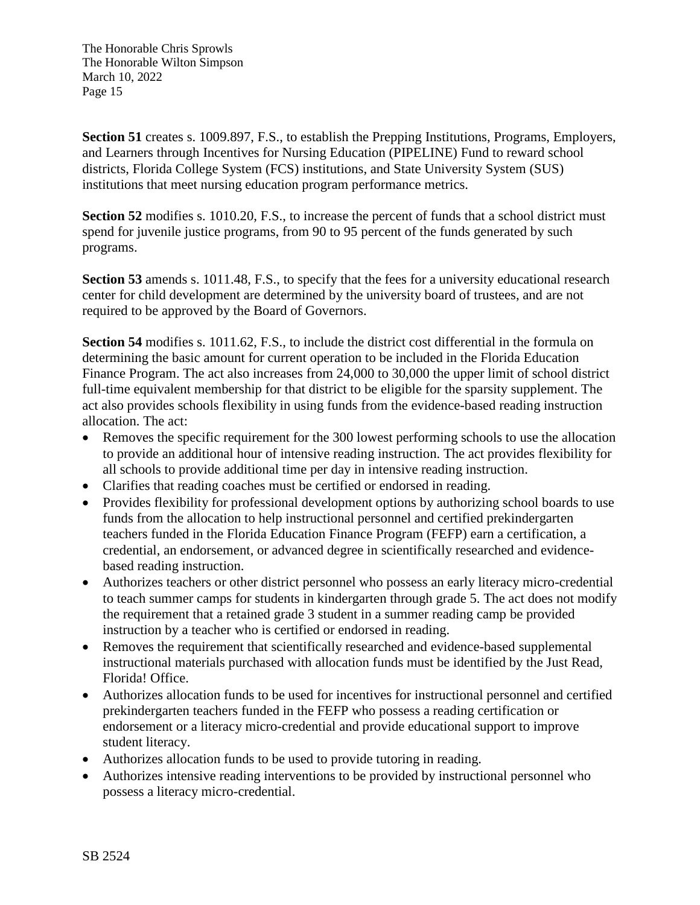**Section 51** creates s. 1009.897, F.S., to establish the Prepping Institutions, Programs, Employers, and Learners through Incentives for Nursing Education (PIPELINE) Fund to reward school districts, Florida College System (FCS) institutions, and State University System (SUS) institutions that meet nursing education program performance metrics.

**Section 52** modifies s. 1010.20, F.S., to increase the percent of funds that a school district must spend for juvenile justice programs, from 90 to 95 percent of the funds generated by such programs.

**Section 53** amends s. 1011.48, F.S., to specify that the fees for a university educational research center for child development are determined by the university board of trustees, and are not required to be approved by the Board of Governors.

**Section 54** modifies s. 1011.62, F.S., to include the district cost differential in the formula on determining the basic amount for current operation to be included in the Florida Education Finance Program. The act also increases from 24,000 to 30,000 the upper limit of school district full-time equivalent membership for that district to be eligible for the sparsity supplement. The act also provides schools flexibility in using funds from the evidence-based reading instruction allocation. The act:

- Removes the specific requirement for the 300 lowest performing schools to use the allocation to provide an additional hour of intensive reading instruction. The act provides flexibility for all schools to provide additional time per day in intensive reading instruction.
- Clarifies that reading coaches must be certified or endorsed in reading.
- Provides flexibility for professional development options by authorizing school boards to use funds from the allocation to help instructional personnel and certified prekindergarten teachers funded in the Florida Education Finance Program (FEFP) earn a certification, a credential, an endorsement, or advanced degree in scientifically researched and evidencebased reading instruction.
- Authorizes teachers or other district personnel who possess an early literacy micro-credential to teach summer camps for students in kindergarten through grade 5. The act does not modify the requirement that a retained grade 3 student in a summer reading camp be provided instruction by a teacher who is certified or endorsed in reading.
- Removes the requirement that scientifically researched and evidence-based supplemental instructional materials purchased with allocation funds must be identified by the Just Read, Florida! Office.
- Authorizes allocation funds to be used for incentives for instructional personnel and certified prekindergarten teachers funded in the FEFP who possess a reading certification or endorsement or a literacy micro-credential and provide educational support to improve student literacy.
- Authorizes allocation funds to be used to provide tutoring in reading.
- Authorizes intensive reading interventions to be provided by instructional personnel who possess a literacy micro-credential.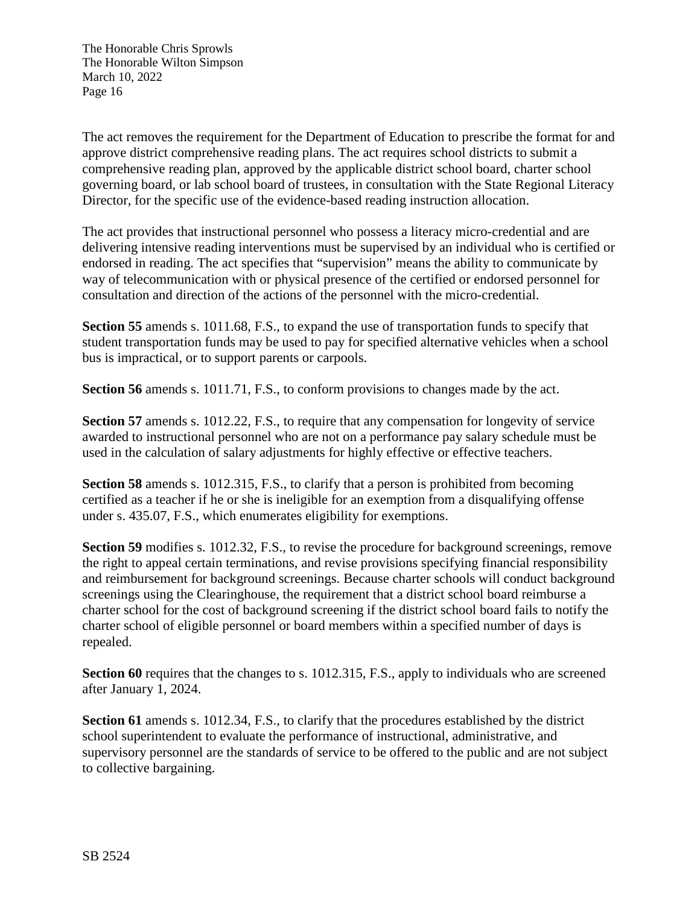The act removes the requirement for the Department of Education to prescribe the format for and approve district comprehensive reading plans. The act requires school districts to submit a comprehensive reading plan, approved by the applicable district school board, charter school governing board, or lab school board of trustees, in consultation with the State Regional Literacy Director, for the specific use of the evidence-based reading instruction allocation.

The act provides that instructional personnel who possess a literacy micro-credential and are delivering intensive reading interventions must be supervised by an individual who is certified or endorsed in reading. The act specifies that "supervision" means the ability to communicate by way of telecommunication with or physical presence of the certified or endorsed personnel for consultation and direction of the actions of the personnel with the micro-credential.

**Section 55** amends s. 1011.68, F.S., to expand the use of transportation funds to specify that student transportation funds may be used to pay for specified alternative vehicles when a school bus is impractical, or to support parents or carpools.

**Section 56** amends s. 1011.71, F.S., to conform provisions to changes made by the act.

**Section 57** amends s. 1012.22, F.S., to require that any compensation for longevity of service awarded to instructional personnel who are not on a performance pay salary schedule must be used in the calculation of salary adjustments for highly effective or effective teachers.

**Section 58** amends s. 1012.315, F.S., to clarify that a person is prohibited from becoming certified as a teacher if he or she is ineligible for an exemption from a disqualifying offense under s. 435.07, F.S., which enumerates eligibility for exemptions.

**Section 59** modifies s. 1012.32, F.S., to revise the procedure for background screenings, remove the right to appeal certain terminations, and revise provisions specifying financial responsibility and reimbursement for background screenings. Because charter schools will conduct background screenings using the Clearinghouse, the requirement that a district school board reimburse a charter school for the cost of background screening if the district school board fails to notify the charter school of eligible personnel or board members within a specified number of days is repealed.

**Section 60** requires that the changes to s. 1012.315, F.S., apply to individuals who are screened after January 1, 2024.

**Section 61** amends s. 1012.34, F.S., to clarify that the procedures established by the district school superintendent to evaluate the performance of instructional, administrative, and supervisory personnel are the standards of service to be offered to the public and are not subject to collective bargaining.